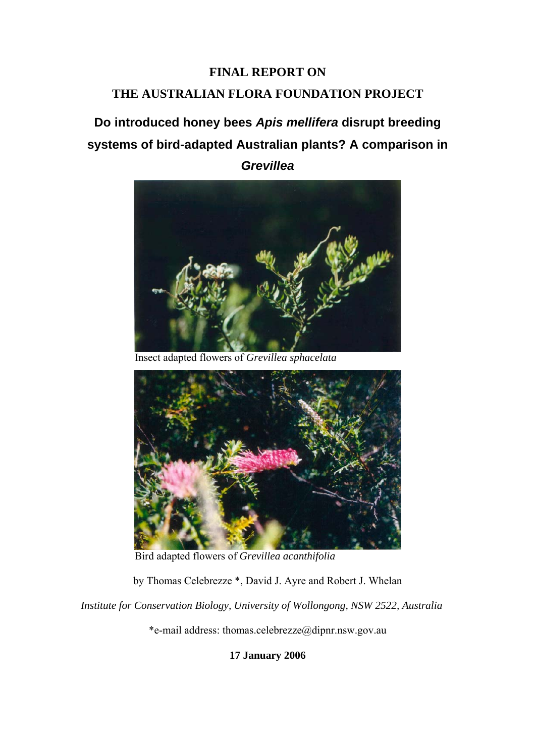# **FINAL REPORT ON**

# **THE AUSTRALIAN FLORA FOUNDATION PROJECT**

# **Do introduced honey bees** *Apis mellifera* **disrupt breeding systems of bird-adapted Australian plants? A comparison in**

*Grevillea* 



Insect adapted flowers of *Grevillea sphacelata*



Bird adapted flowers of *Grevillea acanthifolia*

by Thomas Celebrezze \*, David J. Ayre and Robert J. Whelan

*Institute for Conservation Biology, University of Wollongong, NSW 2522, Australia*

\*e-mail address: thomas.celebrezze@dipnr.nsw.gov.au

**17 January 2006**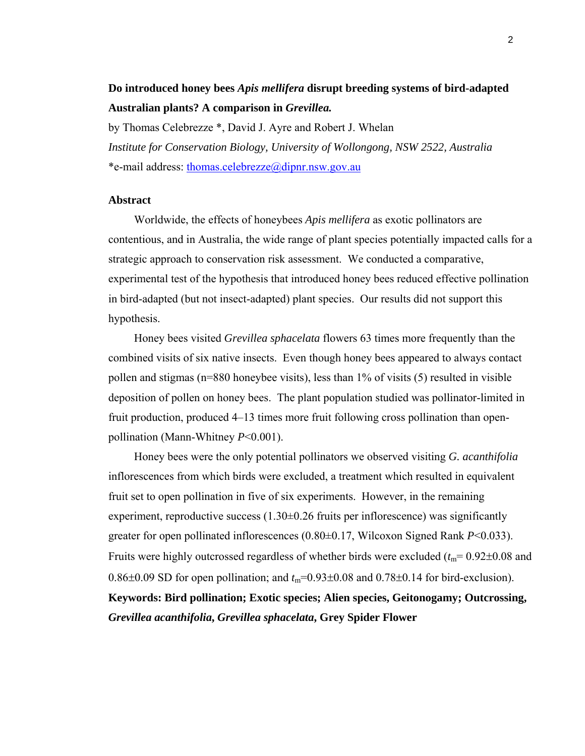# **Do introduced honey bees** *Apis mellifera* **disrupt breeding systems of bird-adapted Australian plants? A comparison in** *Grevillea.*

by Thomas Celebrezze \*, David J. Ayre and Robert J. Whelan *Institute for Conservation Biology, University of Wollongong, NSW 2522, Australia* \*e-mail address: [thomas.celebrezze@dipnr.nsw.gov.au](mailto:thomas.celebrezze@dipnr.nsw.gov.au)

### **Abstract**

Worldwide, the effects of honeybees *Apis mellifera* as exotic pollinators are contentious, and in Australia, the wide range of plant species potentially impacted calls for a strategic approach to conservation risk assessment. We conducted a comparative, experimental test of the hypothesis that introduced honey bees reduced effective pollination in bird-adapted (but not insect-adapted) plant species. Our results did not support this hypothesis.

Honey bees visited *Grevillea sphacelata* flowers 63 times more frequently than the combined visits of six native insects. Even though honey bees appeared to always contact pollen and stigmas ( $n=880$  honeybee visits), less than  $1\%$  of visits (5) resulted in visible deposition of pollen on honey bees. The plant population studied was pollinator-limited in fruit production, produced 4–13 times more fruit following cross pollination than openpollination (Mann-Whitney *P*<0.001).

Honey bees were the only potential pollinators we observed visiting *G. acanthifolia* inflorescences from which birds were excluded, a treatment which resulted in equivalent fruit set to open pollination in five of six experiments. However, in the remaining experiment, reproductive success  $(1.30\pm0.26$  fruits per inflorescence) was significantly greater for open pollinated inflorescences (0.80±0.17, Wilcoxon Signed Rank *P*<0.033). Fruits were highly outcrossed regardless of whether birds were excluded  $(t_m=0.92\pm0.08$  and 0.86 $\pm$ 0.09 SD for open pollination; and  $t_m$ =0.93 $\pm$ 0.08 and 0.78 $\pm$ 0.14 for bird-exclusion). **Keywords: Bird pollination; Exotic species; Alien species, Geitonogamy; Outcrossing,** 

#### *Grevillea acanthifolia***,** *Grevillea sphacelata***, Grey Spider Flower**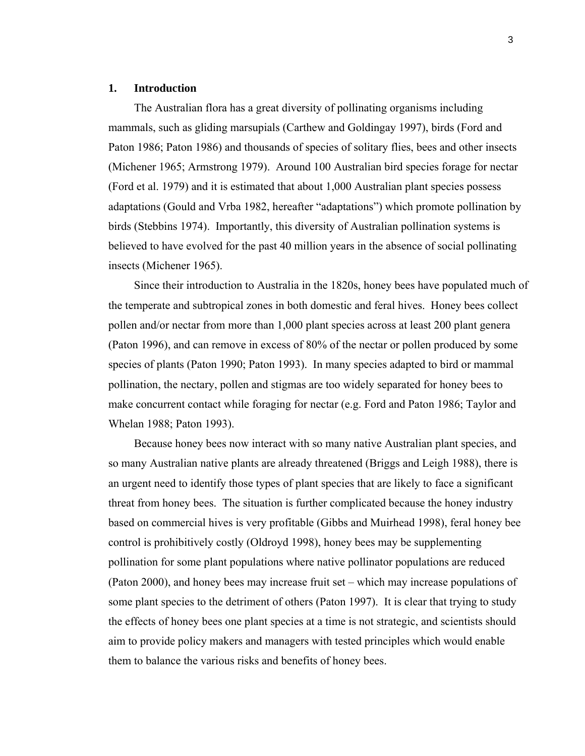#### **1. Introduction**

The Australian flora has a great diversity of pollinating organisms including mammals, such as gliding marsupials (Carthew and Goldingay 1997), birds (Ford and Paton 1986; Paton 1986) and thousands of species of solitary flies, bees and other insects (Michener 1965; Armstrong 1979). Around 100 Australian bird species forage for nectar (Ford et al. 1979) and it is estimated that about 1,000 Australian plant species possess adaptations (Gould and Vrba 1982, hereafter "adaptations") which promote pollination by birds (Stebbins 1974). Importantly, this diversity of Australian pollination systems is believed to have evolved for the past 40 million years in the absence of social pollinating insects (Michener 1965).

Since their introduction to Australia in the 1820s, honey bees have populated much of the temperate and subtropical zones in both domestic and feral hives. Honey bees collect pollen and/or nectar from more than 1,000 plant species across at least 200 plant genera (Paton 1996), and can remove in excess of 80% of the nectar or pollen produced by some species of plants (Paton 1990; Paton 1993). In many species adapted to bird or mammal pollination, the nectary, pollen and stigmas are too widely separated for honey bees to make concurrent contact while foraging for nectar (e.g. Ford and Paton 1986; Taylor and Whelan 1988; Paton 1993).

Because honey bees now interact with so many native Australian plant species, and so many Australian native plants are already threatened (Briggs and Leigh 1988), there is an urgent need to identify those types of plant species that are likely to face a significant threat from honey bees. The situation is further complicated because the honey industry based on commercial hives is very profitable (Gibbs and Muirhead 1998), feral honey bee control is prohibitively costly (Oldroyd 1998), honey bees may be supplementing pollination for some plant populations where native pollinator populations are reduced (Paton 2000), and honey bees may increase fruit set – which may increase populations of some plant species to the detriment of others (Paton 1997). It is clear that trying to study the effects of honey bees one plant species at a time is not strategic, and scientists should aim to provide policy makers and managers with tested principles which would enable them to balance the various risks and benefits of honey bees.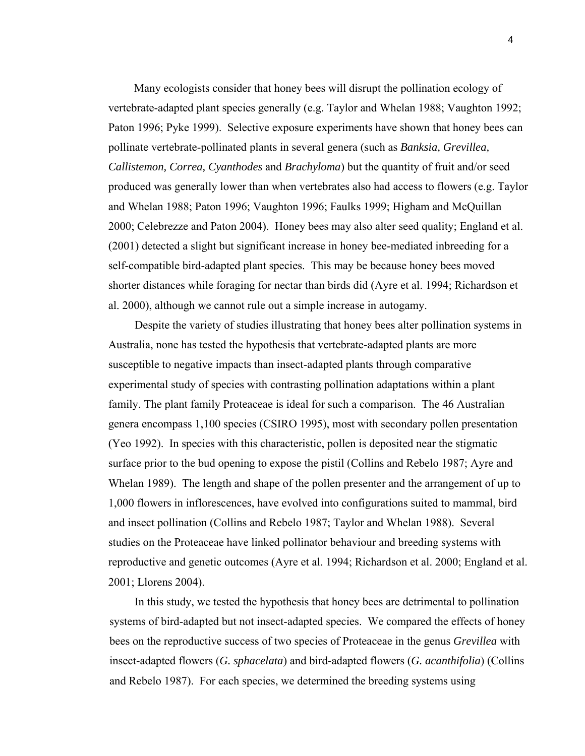Many ecologists consider that honey bees will disrupt the pollination ecology of vertebrate-adapted plant species generally (e.g. Taylor and Whelan 1988; Vaughton 1992; Paton 1996; Pyke 1999). Selective exposure experiments have shown that honey bees can pollinate vertebrate-pollinated plants in several genera (such as *Banksia, Grevillea, Callistemon, Correa, Cyanthodes* and *Brachyloma*) but the quantity of fruit and/or seed produced was generally lower than when vertebrates also had access to flowers (e.g. Taylor and Whelan 1988; Paton 1996; Vaughton 1996; Faulks 1999; Higham and McQuillan 2000; Celebrezze and Paton 2004). Honey bees may also alter seed quality; England et al. (2001) detected a slight but significant increase in honey bee-mediated inbreeding for a self-compatible bird-adapted plant species. This may be because honey bees moved shorter distances while foraging for nectar than birds did (Ayre et al. 1994; Richardson et al. 2000), although we cannot rule out a simple increase in autogamy.

Despite the variety of studies illustrating that honey bees alter pollination systems in Australia, none has tested the hypothesis that vertebrate-adapted plants are more susceptible to negative impacts than insect-adapted plants through comparative experimental study of species with contrasting pollination adaptations within a plant family. The plant family Proteaceae is ideal for such a comparison. The 46 Australian genera encompass 1,100 species (CSIRO 1995), most with secondary pollen presentation (Yeo 1992). In species with this characteristic, pollen is deposited near the stigmatic surface prior to the bud opening to expose the pistil (Collins and Rebelo 1987; Ayre and Whelan 1989). The length and shape of the pollen presenter and the arrangement of up to 1,000 flowers in inflorescences, have evolved into configurations suited to mammal, bird and insect pollination (Collins and Rebelo 1987; Taylor and Whelan 1988). Several studies on the Proteaceae have linked pollinator behaviour and breeding systems with reproductive and genetic outcomes (Ayre et al. 1994; Richardson et al. 2000; England et al. 2001; Llorens 2004).

In this study, we tested the hypothesis that honey bees are detrimental to pollination systems of bird-adapted but not insect-adapted species. We compared the effects of honey bees on the reproductive success of two species of Proteaceae in the genus *Grevillea* with insect-adapted flowers (*G. sphacelata*) and bird-adapted flowers (*G. acanthifolia*) (Collins and Rebelo 1987). For each species, we determined the breeding systems using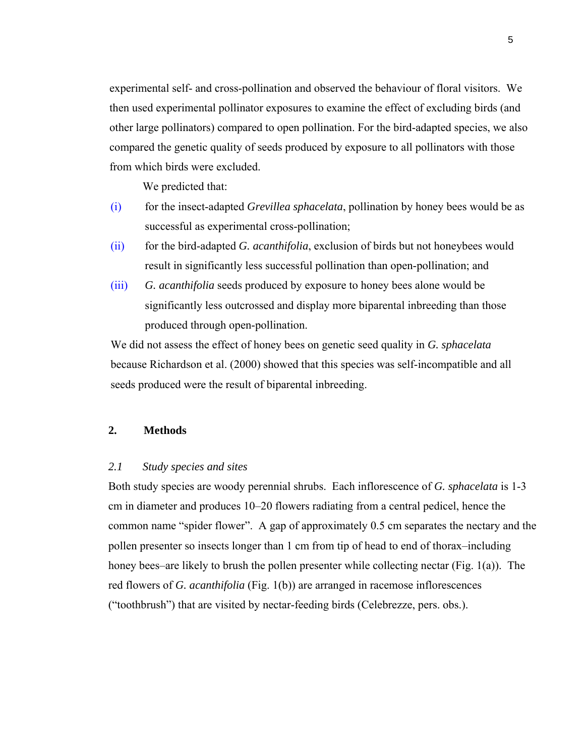experimental self- and cross-pollination and observed the behaviour of floral visitors. We then used experimental pollinator exposures to examine the effect of excluding birds (and other large pollinators) compared to open pollination. For the bird-adapted species, we also compared the genetic quality of seeds produced by exposure to all pollinators with those from which birds were excluded.

We predicted that:

- (i) for the insect-adapted *Grevillea sphacelata*, pollination by honey bees would be as successful as experimental cross-pollination;
- (ii) for the bird-adapted *G. acanthifolia*, exclusion of birds but not honeybees would result in significantly less successful pollination than open-pollination; and
- (iii) *G. acanthifolia* seeds produced by exposure to honey bees alone would be significantly less outcrossed and display more biparental inbreeding than those produced through open-pollination.

We did not assess the effect of honey bees on genetic seed quality in *G. sphacelata* because Richardson et al. (2000) showed that this species was self-incompatible and all seeds produced were the result of biparental inbreeding.

# **2. Methods**

# *2.1 Study species and sites*

Both study species are woody perennial shrubs. Each inflorescence of *G. sphacelata* is 1-3 cm in diameter and produces 10–20 flowers radiating from a central pedicel, hence the common name "spider flower". A gap of approximately 0.5 cm separates the nectary and the pollen presenter so insects longer than 1 cm from tip of head to end of thorax–including honey bees–are likely to brush the pollen presenter while collecting nectar (Fig. 1(a)). The red flowers of *G. acanthifolia* (Fig. 1(b)) are arranged in racemose inflorescences ("toothbrush") that are visited by nectar-feeding birds (Celebrezze, pers. obs.).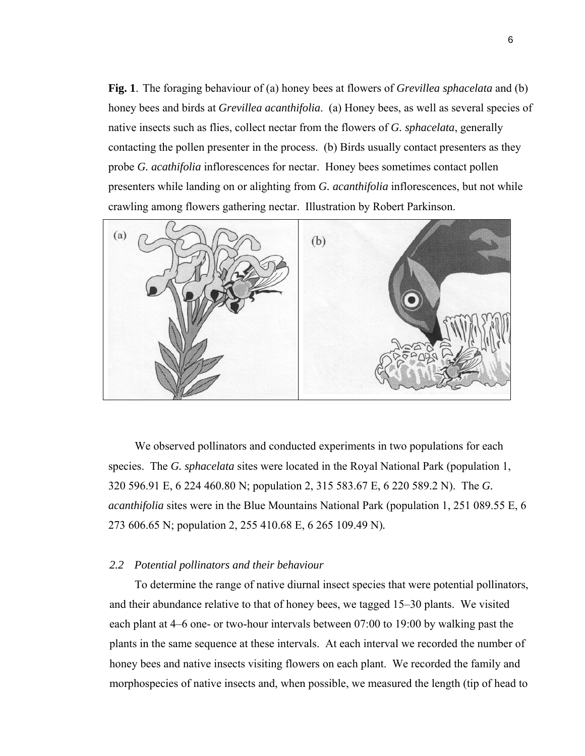**Fig. 1**. The foraging behaviour of (a) honey bees at flowers of *Grevillea sphacelata* and (b) honey bees and birds at *Grevillea acanthifolia*. (a) Honey bees, as well as several species of native insects such as flies, collect nectar from the flowers of *G. sphacelata*, generally contacting the pollen presenter in the process. (b) Birds usually contact presenters as they probe *G. acathifolia* inflorescences for nectar. Honey bees sometimes contact pollen presenters while landing on or alighting from *G. acanthifolia* inflorescences, but not while crawling among flowers gathering nectar. Illustration by Robert Parkinson.



We observed pollinators and conducted experiments in two populations for each species. The *G. sphacelata* sites were located in the Royal National Park (population 1, 320 596.91 E, 6 224 460.80 N; population 2, 315 583.67 E, 6 220 589.2 N). The *G. acanthifolia* sites were in the Blue Mountains National Park (population 1, 251 089.55 E, 6 273 606.65 N; population 2, 255 410.68 E, 6 265 109.49 N)*.* 

#### *2.2 Potential pollinators and their behaviour*

To determine the range of native diurnal insect species that were potential pollinators, and their abundance relative to that of honey bees, we tagged 15–30 plants. We visited each plant at 4–6 one- or two-hour intervals between 07:00 to 19:00 by walking past the plants in the same sequence at these intervals. At each interval we recorded the number of honey bees and native insects visiting flowers on each plant. We recorded the family and morphospecies of native insects and, when possible, we measured the length (tip of head to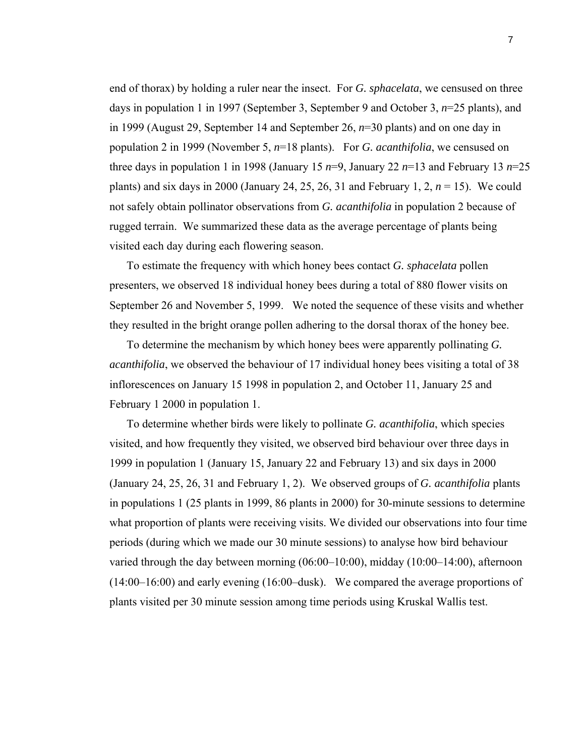end of thorax) by holding a ruler near the insect. For *G. sphacelata*, we censused on three days in population 1 in 1997 (September 3, September 9 and October 3, *n*=25 plants), and in 1999 (August 29, September 14 and September 26, *n*=30 plants) and on one day in population 2 in 1999 (November 5, *n*=18 plants). For *G. acanthifolia*, we censused on three days in population 1 in 1998 (January 15  $n=9$ , January 22  $n=13$  and February 13  $n=25$ plants) and six days in 2000 (January 24, 25, 26, 31 and February 1, 2,  $n = 15$ ). We could not safely obtain pollinator observations from *G. acanthifolia* in population 2 because of rugged terrain. We summarized these data as the average percentage of plants being visited each day during each flowering season.

To estimate the frequency with which honey bees contact *G. sphacelata* pollen presenters, we observed 18 individual honey bees during a total of 880 flower visits on September 26 and November 5, 1999. We noted the sequence of these visits and whether they resulted in the bright orange pollen adhering to the dorsal thorax of the honey bee.

To determine the mechanism by which honey bees were apparently pollinating *G. acanthifolia*, we observed the behaviour of 17 individual honey bees visiting a total of 38 inflorescences on January 15 1998 in population 2, and October 11, January 25 and February 1 2000 in population 1.

To determine whether birds were likely to pollinate *G. acanthifolia*, which species visited, and how frequently they visited, we observed bird behaviour over three days in 1999 in population 1 (January 15, January 22 and February 13) and six days in 2000 (January 24, 25, 26, 31 and February 1, 2). We observed groups of *G. acanthifolia* plants in populations 1 (25 plants in 1999, 86 plants in 2000) for 30-minute sessions to determine what proportion of plants were receiving visits. We divided our observations into four time periods (during which we made our 30 minute sessions) to analyse how bird behaviour varied through the day between morning (06:00–10:00), midday (10:00–14:00), afternoon (14:00–16:00) and early evening (16:00–dusk). We compared the average proportions of plants visited per 30 minute session among time periods using Kruskal Wallis test.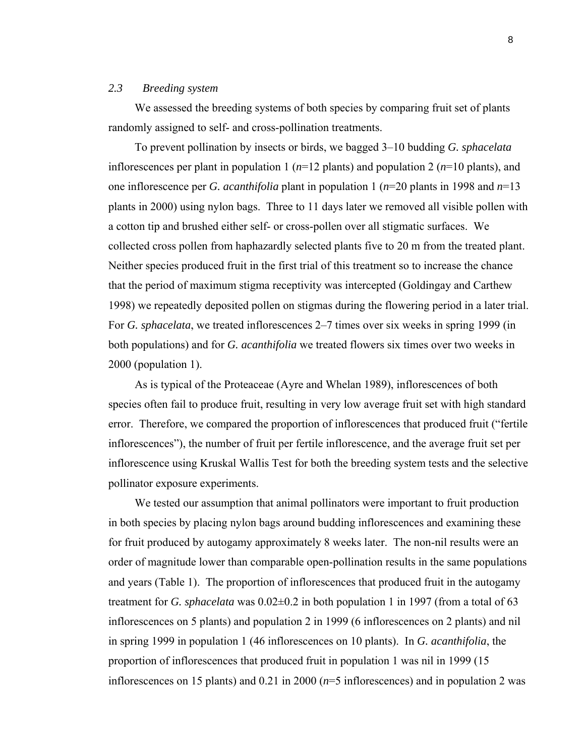# *2.3 Breeding system*

We assessed the breeding systems of both species by comparing fruit set of plants randomly assigned to self- and cross-pollination treatments.

To prevent pollination by insects or birds, we bagged 3–10 budding *G. sphacelata* inflorescences per plant in population 1 (*n*=12 plants) and population 2 (*n*=10 plants), and one inflorescence per *G. acanthifolia* plant in population 1 (*n*=20 plants in 1998 and *n*=13 plants in 2000) using nylon bags. Three to 11 days later we removed all visible pollen with a cotton tip and brushed either self- or cross-pollen over all stigmatic surfaces. We collected cross pollen from haphazardly selected plants five to 20 m from the treated plant. Neither species produced fruit in the first trial of this treatment so to increase the chance that the period of maximum stigma receptivity was intercepted (Goldingay and Carthew 1998) we repeatedly deposited pollen on stigmas during the flowering period in a later trial. For *G. sphacelata*, we treated inflorescences 2–7 times over six weeks in spring 1999 (in both populations) and for *G. acanthifolia* we treated flowers six times over two weeks in 2000 (population 1).

As is typical of the Proteaceae (Ayre and Whelan 1989), inflorescences of both species often fail to produce fruit, resulting in very low average fruit set with high standard error. Therefore, we compared the proportion of inflorescences that produced fruit ("fertile inflorescences"), the number of fruit per fertile inflorescence, and the average fruit set per inflorescence using Kruskal Wallis Test for both the breeding system tests and the selective pollinator exposure experiments.

We tested our assumption that animal pollinators were important to fruit production in both species by placing nylon bags around budding inflorescences and examining these for fruit produced by autogamy approximately 8 weeks later. The non-nil results were an order of magnitude lower than comparable open-pollination results in the same populations and years (Table 1). The proportion of inflorescences that produced fruit in the autogamy treatment for *G. sphacelata* was  $0.02\pm0.2$  in both population 1 in 1997 (from a total of 63 inflorescences on 5 plants) and population 2 in 1999 (6 inflorescences on 2 plants) and nil in spring 1999 in population 1 (46 inflorescences on 10 plants). In *G. acanthifolia*, the proportion of inflorescences that produced fruit in population 1 was nil in 1999 (15 inflorescences on 15 plants) and 0.21 in 2000 (*n*=5 inflorescences) and in population 2 was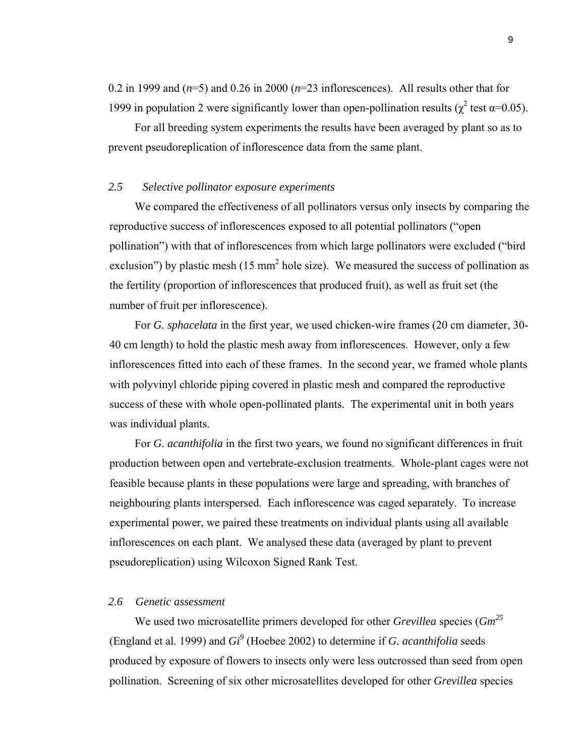0.2 in 1999 and  $(n=5)$  and 0.26 in 2000  $(n=23)$  inflorescences). All results other that for 1999 in population 2 were significantly lower than open-pollination results ( $\chi^2$  test α=0.05).

For all breeding system experiments the results have been averaged by plant so as to prevent pseudoreplication of inflorescence data from the same plant.

# *2.5 Selective pollinator exposure experiments*

We compared the effectiveness of all pollinators versus only insects by comparing the reproductive success of inflorescences exposed to all potential pollinators ("open pollination") with that of inflorescences from which large pollinators were excluded ("bird exclusion") by plastic mesh (15 mm<sup>2</sup> hole size). We measured the success of pollination as the fertility (proportion of inflorescences that produced fruit), as well as fruit set (the number of fruit per inflorescence).

 For *G. sphacelata* in the first year, we used chicken-wire frames (20 cm diameter, 30- 40 cm length) to hold the plastic mesh away from inflorescences. However, only a few inflorescences fitted into each of these frames. In the second year, we framed whole plants with polyvinyl chloride piping covered in plastic mesh and compared the reproductive success of these with whole open-pollinated plants. The experimental unit in both years was individual plants.

 For *G. acanthifolia* in the first two years, we found no significant differences in fruit production between open and vertebrate-exclusion treatments. Whole-plant cages were not feasible because plants in these populations were large and spreading, with branches of neighbouring plants interspersed. Each inflorescence was caged separately. To increase experimental power, we paired these treatments on individual plants using all available inflorescences on each plant. We analysed these data (averaged by plant to prevent pseudoreplication) using Wilcoxon Signed Rank Test.

#### *2.6 Genetic assessment*

We used two microsatellite primers developed for other *Grevillea* species (*Gm25* (England et al. 1999) and  $Gi^9$  (Hoebee 2002) to determine if *G. acanthifolia* seeds produced by exposure of flowers to insects only were less outcrossed than seed from open pollination. Screening of six other microsatellites developed for other *Grevillea* species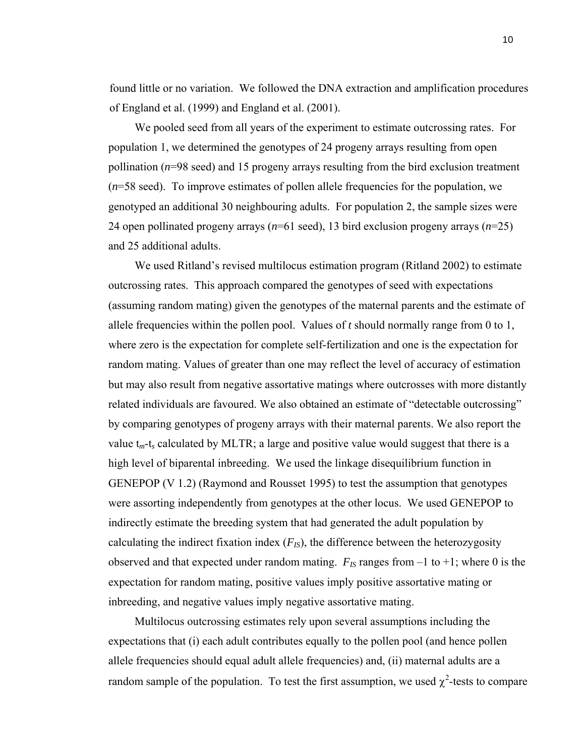found little or no variation. We followed the DNA extraction and amplification procedures of England et al. (1999) and England et al. (2001).

We pooled seed from all years of the experiment to estimate outcrossing rates. For population 1, we determined the genotypes of 24 progeny arrays resulting from open pollination (*n*=98 seed) and 15 progeny arrays resulting from the bird exclusion treatment (*n*=58 seed). To improve estimates of pollen allele frequencies for the population, we genotyped an additional 30 neighbouring adults. For population 2, the sample sizes were 24 open pollinated progeny arrays (*n*=61 seed), 13 bird exclusion progeny arrays (*n*=25) and 25 additional adults.

We used Ritland's revised multilocus estimation program (Ritland 2002) to estimate outcrossing rates. This approach compared the genotypes of seed with expectations (assuming random mating) given the genotypes of the maternal parents and the estimate of allele frequencies within the pollen pool. Values of *t* should normally range from 0 to 1, where zero is the expectation for complete self-fertilization and one is the expectation for random mating. Values of greater than one may reflect the level of accuracy of estimation but may also result from negative assortative matings where outcrosses with more distantly related individuals are favoured. We also obtained an estimate of "detectable outcrossing" by comparing genotypes of progeny arrays with their maternal parents. We also report the value  $t_m$ -t<sub>s</sub> calculated by MLTR; a large and positive value would suggest that there is a high level of biparental inbreeding. We used the linkage disequilibrium function in GENEPOP (V 1.2) (Raymond and Rousset 1995) to test the assumption that genotypes were assorting independently from genotypes at the other locus. We used GENEPOP to indirectly estimate the breeding system that had generated the adult population by calculating the indirect fixation index  $(F_{IS})$ , the difference between the heterozygosity observed and that expected under random mating.  $F_{IS}$  ranges from  $-1$  to  $+1$ ; where 0 is the expectation for random mating, positive values imply positive assortative mating or inbreeding, and negative values imply negative assortative mating.

Multilocus outcrossing estimates rely upon several assumptions including the expectations that (i) each adult contributes equally to the pollen pool (and hence pollen allele frequencies should equal adult allele frequencies) and, (ii) maternal adults are a random sample of the population. To test the first assumption, we used  $\chi^2$ -tests to compare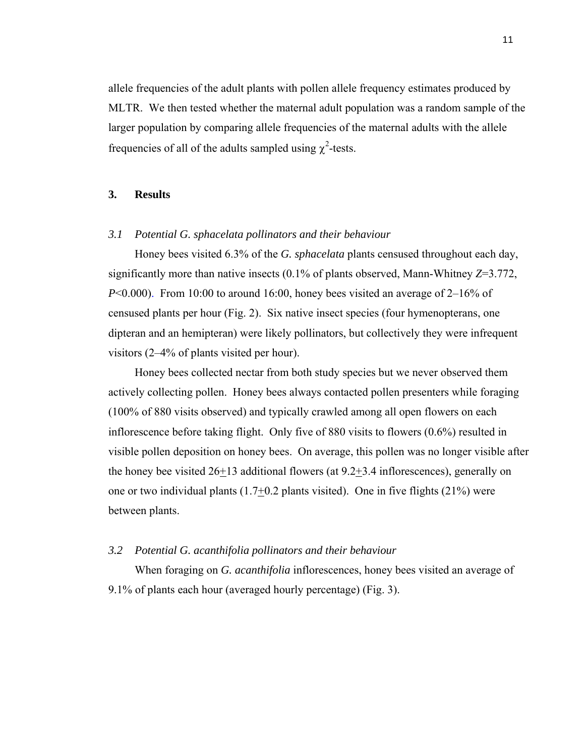allele frequencies of the adult plants with pollen allele frequency estimates produced by MLTR. We then tested whether the maternal adult population was a random sample of the larger population by comparing allele frequencies of the maternal adults with the allele frequencies of all of the adults sampled using  $\chi^2$ -tests.

# **3. Results**

#### *3.1 Potential G. sphacelata pollinators and their behaviour*

Honey bees visited 6.3% of the *G. sphacelata* plants censused throughout each day, significantly more than native insects (0.1% of plants observed, Mann-Whitney *Z*=3.772, *P*<0.000). From 10:00 to around 16:00, honey bees visited an average of 2–16% of censused plants per hour (Fig. 2). Six native insect species (four hymenopterans, one dipteran and an hemipteran) were likely pollinators, but collectively they were infrequent visitors (2–4% of plants visited per hour).

Honey bees collected nectar from both study species but we never observed them actively collecting pollen. Honey bees always contacted pollen presenters while foraging (100% of 880 visits observed) and typically crawled among all open flowers on each inflorescence before taking flight. Only five of 880 visits to flowers (0.6%) resulted in visible pollen deposition on honey bees. On average, this pollen was no longer visible after the honey bee visited 26+13 additional flowers (at 9.2+3.4 inflorescences), generally on one or two individual plants  $(1.7\pm 0.2$  plants visited). One in five flights  $(21\%)$  were between plants.

#### *3.2 Potential G. acanthifolia pollinators and their behaviour*

When foraging on *G. acanthifolia* inflorescences, honey bees visited an average of 9.1% of plants each hour (averaged hourly percentage) (Fig. 3).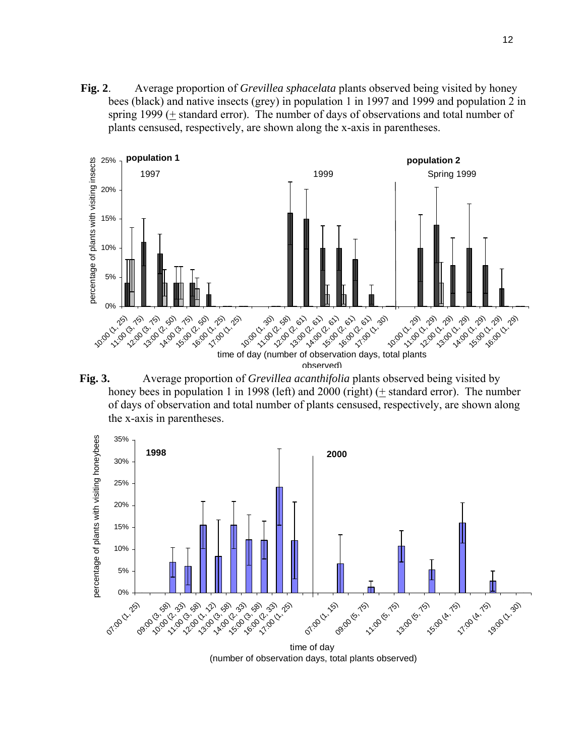**Fig. 2**. Average proportion of *Grevillea sphacelata* plants observed being visited by honey bees (black) and native insects (grey) in population 1 in 1997 and 1999 and population 2 in spring 1999 ( $\pm$  standard error). The number of days of observations and total number of plants censused, respectively, are shown along the x-axis in parentheses.







(number of observation days, total plants observed)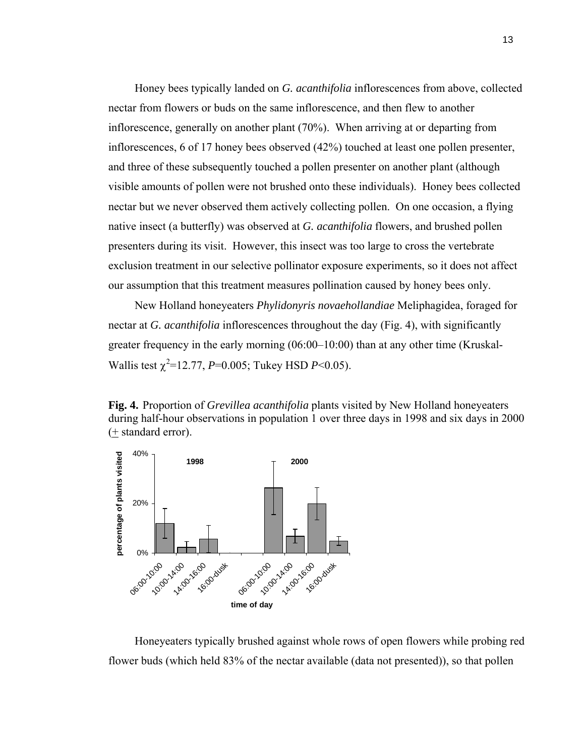Honey bees typically landed on *G. acanthifolia* inflorescences from above, collected nectar from flowers or buds on the same inflorescence, and then flew to another inflorescence, generally on another plant (70%). When arriving at or departing from inflorescences, 6 of 17 honey bees observed (42%) touched at least one pollen presenter, and three of these subsequently touched a pollen presenter on another plant (although visible amounts of pollen were not brushed onto these individuals). Honey bees collected nectar but we never observed them actively collecting pollen. On one occasion, a flying native insect (a butterfly) was observed at *G. acanthifolia* flowers, and brushed pollen presenters during its visit. However, this insect was too large to cross the vertebrate exclusion treatment in our selective pollinator exposure experiments, so it does not affect our assumption that this treatment measures pollination caused by honey bees only.

New Holland honeyeaters *Phylidonyris novaehollandiae* Meliphagidea, foraged for nectar at *G. acanthifolia* inflorescences throughout the day (Fig. 4), with significantly greater frequency in the early morning (06:00–10:00) than at any other time (Kruskal-Wallis test  $\chi^2$ =12.77, *P*=0.005; Tukey HSD *P*<0.05).

**Fig. 4.** Proportion of *Grevillea acanthifolia* plants visited by New Holland honeyeaters during half-hour observations in population 1 over three days in 1998 and six days in 2000 (+ standard error).



Honeyeaters typically brushed against whole rows of open flowers while probing red flower buds (which held 83% of the nectar available (data not presented)), so that pollen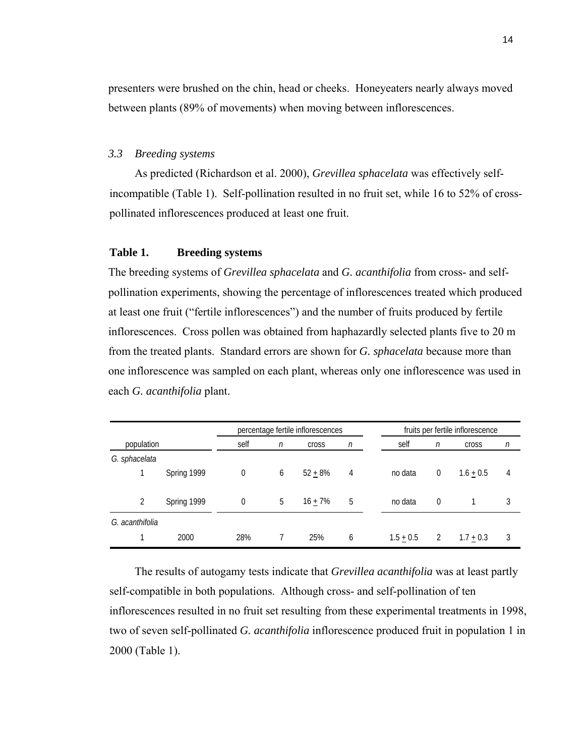presenters were brushed on the chin, head or cheeks. Honeyeaters nearly always moved between plants (89% of movements) when moving between inflorescences.

#### *3.3 Breeding systems*

As predicted (Richardson et al. 2000), *Grevillea sphacelata* was effectively selfincompatible (Table 1). Self-pollination resulted in no fruit set, while 16 to 52% of crosspollinated inflorescences produced at least one fruit.

# **Table 1. Breeding systems**

The breeding systems of *Grevillea sphacelata* and *G. acanthifolia* from cross- and selfpollination experiments, showing the percentage of inflorescences treated which produced at least one fruit ("fertile inflorescences") and the number of fruits produced by fertile inflorescences. Cross pollen was obtained from haphazardly selected plants five to 20 m from the treated plants. Standard errors are shown for *G. sphacelata* because more than one inflorescence was sampled on each plant, whereas only one inflorescence was used in each *G. acanthifolia* plant.

|                 |             |      | percentage fertile inflorescences |           | fruits per fertile inflorescence |             |                |              |   |  |
|-----------------|-------------|------|-----------------------------------|-----------|----------------------------------|-------------|----------------|--------------|---|--|
| population      |             | self | $\eta$<br><b>Cross</b>            |           | $\eta$                           | self        | $\eta$         | <b>Cross</b> | n |  |
| G. sphacelata   |             |      |                                   |           |                                  |             |                |              |   |  |
|                 | Spring 1999 | 0    | 6                                 | $52 + 8%$ | 4                                | no data     | $\mathbf{0}$   | $1.6 + 0.5$  | 4 |  |
| 2               | Spring 1999 | 0    | 5                                 | $16 + 7%$ | 5                                | no data     | $\overline{0}$ |              | 3 |  |
| G. acanthifolia |             |      |                                   |           |                                  |             |                |              |   |  |
|                 | 2000        | 28%  |                                   | 25%       | 6                                | $1.5 + 0.5$ | 2              | $1.7 + 0.3$  | 3 |  |

The results of autogamy tests indicate that *Grevillea acanthifolia* was at least partly self-compatible in both populations. Although cross- and self-pollination of ten inflorescences resulted in no fruit set resulting from these experimental treatments in 1998, two of seven self-pollinated *G. acanthifolia* inflorescence produced fruit in population 1 in 2000 (Table 1).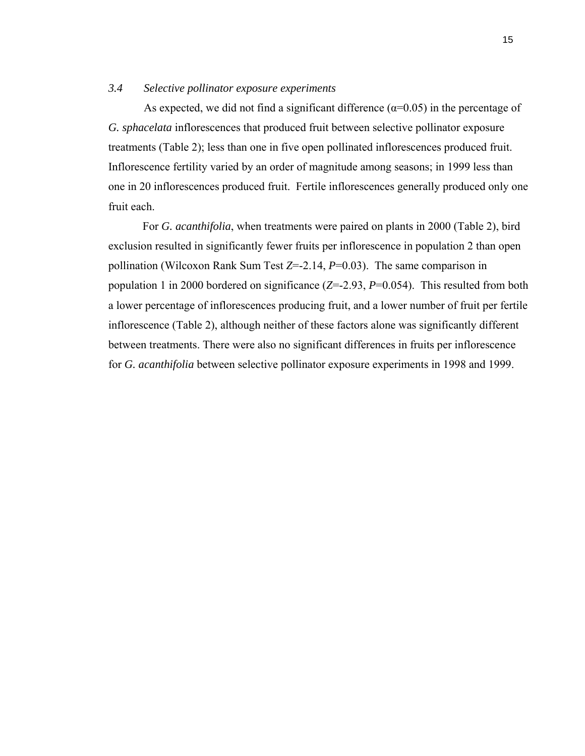# *3.4 Selective pollinator exposure experiments*

As expected, we did not find a significant difference  $(\alpha=0.05)$  in the percentage of *G. sphacelata* inflorescences that produced fruit between selective pollinator exposure treatments (Table 2); less than one in five open pollinated inflorescences produced fruit. Inflorescence fertility varied by an order of magnitude among seasons; in 1999 less than one in 20 inflorescences produced fruit. Fertile inflorescences generally produced only one fruit each.

 For *G. acanthifolia*, when treatments were paired on plants in 2000 (Table 2), bird exclusion resulted in significantly fewer fruits per inflorescence in population 2 than open pollination (Wilcoxon Rank Sum Test *Z*=-2.14, *P*=0.03). The same comparison in population 1 in 2000 bordered on significance (*Z*=-2.93, *P*=0.054). This resulted from both a lower percentage of inflorescences producing fruit, and a lower number of fruit per fertile inflorescence (Table 2), although neither of these factors alone was significantly different between treatments. There were also no significant differences in fruits per inflorescence for *G. acanthifolia* between selective pollinator exposure experiments in 1998 and 1999.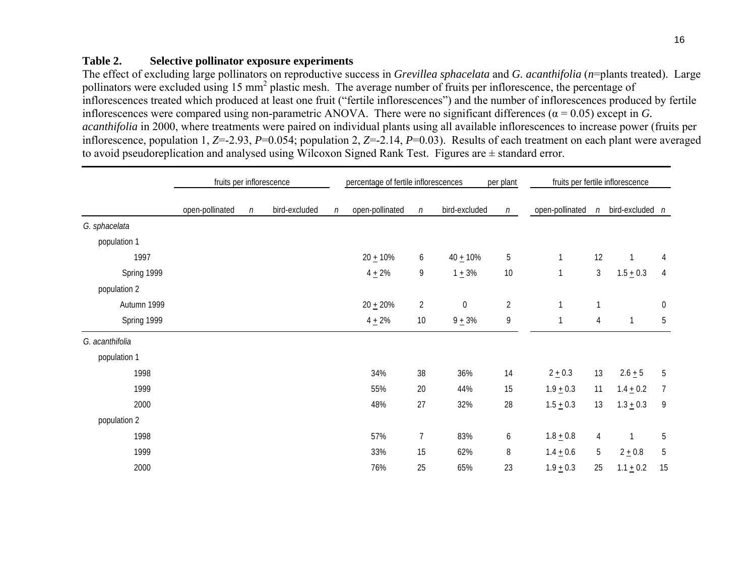# **Table 2. Selective pollinator exposure experiments**

The effect of excluding large pollinators on reproductive success in *Grevillea sphacelata* and *G. acanthifolia* (*n*=plants treated). Large pollinators were excluded using 15 mm<sup>2</sup> plastic mesh. The average number of fruits per inflorescence, the percentage of inflorescences treated which produced at least one fruit ("fertile inflorescences") and the number of inflorescences produced by fertile inflorescences were compared using non-parametric ANOVA. There were no significant differences ( $\alpha$  = 0.05) except in *G*. *acanthifolia* in 2000, where treatments were paired on individual plants using all available inflorescences to increase power (fruits per inflorescence, population 1, *Z*=-2.93, *P*=0.054; population 2, *Z*=-2.14, *P*=0.03). Results of each treatment on each plant were averaged to avoid pseudoreplication and analysed using Wilcoxon Signed Rank Test. Figures are ± standard error.

|                 | fruits per inflorescence |        |               |        | percentage of fertile inflorescences<br>per plant |                |                  |                | fruits per fertile inflorescence |                |                   |                  |
|-----------------|--------------------------|--------|---------------|--------|---------------------------------------------------|----------------|------------------|----------------|----------------------------------|----------------|-------------------|------------------|
|                 | open-pollinated          | $\eta$ | bird-excluded | $\eta$ | open-pollinated                                   | $\eta$         | bird-excluded    | $\eta$         | open-pollinated                  | $\eta$         | bird-excluded $n$ |                  |
| G. sphacelata   |                          |        |               |        |                                                   |                |                  |                |                                  |                |                   |                  |
| population 1    |                          |        |               |        |                                                   |                |                  |                |                                  |                |                   |                  |
| 1997            |                          |        |               |        | $20 + 10%$                                        | 6              | $40 + 10%$       | 5              |                                  | 12             | $\mathbf{1}$      | $\overline{4}$   |
| Spring 1999     |                          |        |               |        | $4 + 2%$                                          | 9              | $1 + 3%$         | 10             | $\mathbf 1$                      | $\mathfrak{Z}$ | $1.5 \pm 0.3$     | $\overline{4}$   |
| population 2    |                          |        |               |        |                                                   |                |                  |                |                                  |                |                   |                  |
| Autumn 1999     |                          |        |               |        | $20 + 20%$                                        | $\overline{2}$ | $\boldsymbol{0}$ | $\overline{2}$ | $\mathbf{1}$                     |                |                   | $\boldsymbol{0}$ |
| Spring 1999     |                          |        |               |        | $4 + 2%$                                          | 10             | $9 + 3%$         | 9              | $\mathbf 1$                      | 4              | $\mathbf{1}$      | 5                |
| G. acanthifolia |                          |        |               |        |                                                   |                |                  |                |                                  |                |                   |                  |
| population 1    |                          |        |               |        |                                                   |                |                  |                |                                  |                |                   |                  |
| 1998            |                          |        |               |        | 34%                                               | 38             | 36%              | 14             | $2 + 0.3$                        | 13             | $2.6 + 5$         | 5                |
| 1999            |                          |        |               |        | 55%                                               | 20             | 44%              | 15             | $1.9 + 0.3$                      | 11             | $1.4 + 0.2$       | $\overline{7}$   |
| 2000            |                          |        |               |        | 48%                                               | 27             | 32%              | 28             | $1.5 + 0.3$                      | 13             | $1.3 + 0.3$       | 9                |
| population 2    |                          |        |               |        |                                                   |                |                  |                |                                  |                |                   |                  |
| 1998            |                          |        |               |        | 57%                                               | $\overline{7}$ | 83%              | 6              | $1.8 + 0.8$                      | 4              | 1                 | $5\,$            |
| 1999            |                          |        |               |        | 33%                                               | 15             | 62%              | 8              | $1.4 + 0.6$                      | 5              | $2 + 0.8$         | $\sqrt{5}$       |
| 2000            |                          |        |               |        | 76%                                               | 25             | 65%              | 23             | $1.9 + 0.3$                      | 25             | $1.1 + 0.2$       | 15               |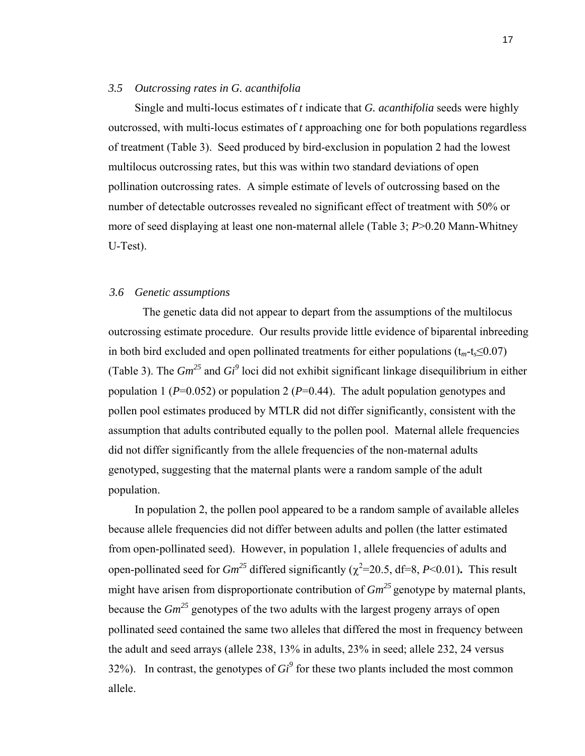#### *3.5 Outcrossing rates in G. acanthifolia*

Single and multi-locus estimates of *t* indicate that *G. acanthifolia* seeds were highly outcrossed, with multi-locus estimates of *t* approaching one for both populations regardless of treatment (Table 3). Seed produced by bird-exclusion in population 2 had the lowest multilocus outcrossing rates, but this was within two standard deviations of open pollination outcrossing rates. A simple estimate of levels of outcrossing based on the number of detectable outcrosses revealed no significant effect of treatment with 50% or more of seed displaying at least one non-maternal allele (Table 3; *P*>0.20 Mann-Whitney U-Test).

#### *3.6 Genetic assumptions*

The genetic data did not appear to depart from the assumptions of the multilocus outcrossing estimate procedure. Our results provide little evidence of biparental inbreeding in both bird excluded and open pollinated treatments for either populations  $(t_m-t_s \leq 0.07)$ (Table 3). The *Gm25* and *Gi<sup>9</sup>* loci did not exhibit significant linkage disequilibrium in either population 1 ( $P=0.052$ ) or population 2 ( $P=0.44$ ). The adult population genotypes and pollen pool estimates produced by MTLR did not differ significantly, consistent with the assumption that adults contributed equally to the pollen pool. Maternal allele frequencies did not differ significantly from the allele frequencies of the non-maternal adults genotyped, suggesting that the maternal plants were a random sample of the adult population.

 In population 2, the pollen pool appeared to be a random sample of available alleles because allele frequencies did not differ between adults and pollen (the latter estimated from open-pollinated seed). However, in population 1, allele frequencies of adults and open-pollinated seed for  $Gm^{25}$  differed significantly ( $\chi^2$ =20.5, df=8, *P*<0.01). This result might have arisen from disproportionate contribution of  $Gm<sup>25</sup>$  genotype by maternal plants, because the *Gm25* genotypes of the two adults with the largest progeny arrays of open pollinated seed contained the same two alleles that differed the most in frequency between the adult and seed arrays (allele 238, 13% in adults, 23% in seed; allele 232, 24 versus 32%). In contrast, the genotypes of  $Gi^9$  for these two plants included the most common allele.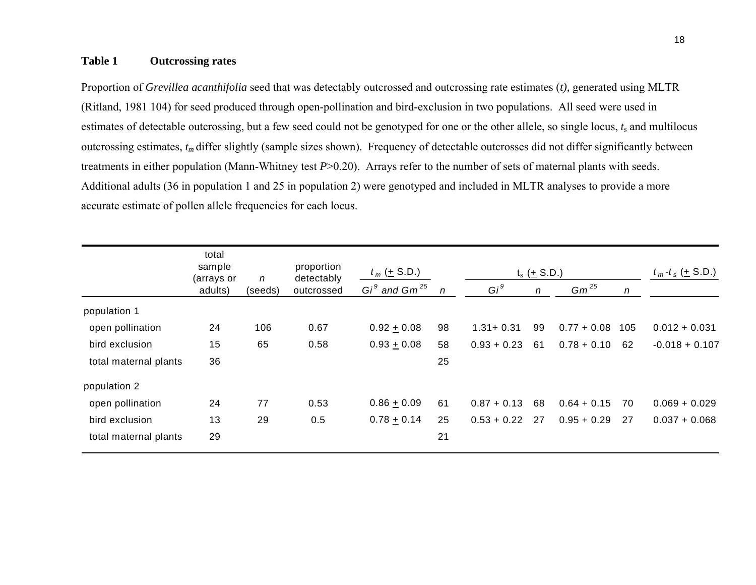# **Table 1 Outcrossing rates**

Proportion of *Grevillea acanthifolia* seed that was detectably outcrossed and outcrossing rate estimates (*t),* generated using MLTR (Ritland, 1981 104) for seed produced through open-pollination and bird-exclusion in two populations. All seed were used in estimates of detectable outcrossing, but a few seed could not be genotyped for one or the other allele, so single locus, *<sup>t</sup>*s and multilocus outcrossing estimates, *tm* differ slightly (sample sizes shown). Frequency of detectable outcrosses did not differ significantly between treatments in either population (Mann-Whitney test *P*>0.20). Arrays refer to the number of sets of maternal plants with seeds. Additional adults (36 in population 1 and 25 in population 2) were genotyped and included in MLTR analyses to provide a more accurate estimate of pollen allele frequencies for each locus.

|                       | total<br>sample<br>(arrays or | n       | proportion<br>detectably | $t_m$ ( $\pm$ S.D.) |                  | $t_s$ ( $\pm$ S.D.) |                  |               |              | $t_m - t_s$ (+ S.D.) |  |
|-----------------------|-------------------------------|---------|--------------------------|---------------------|------------------|---------------------|------------------|---------------|--------------|----------------------|--|
|                       | adults)                       | (seeds) | outcrossed               | $Gi9$ and $Gm25$    | $\boldsymbol{n}$ | $Gi^9$              | $\boldsymbol{n}$ | $Gm^{25}$     | $\mathsf{n}$ |                      |  |
| population 1          |                               |         |                          |                     |                  |                     |                  |               |              |                      |  |
| open pollination      | 24                            | 106     | 0.67                     | $0.92 + 0.08$       | 98               | $1.31 + 0.31$       | 99               | $0.77 + 0.08$ | 105          | $0.012 + 0.031$      |  |
| bird exclusion        | 15                            | 65      | 0.58                     | $0.93 + 0.08$       | 58               | $0.93 + 0.23$       | 61               | $0.78 + 0.10$ | 62           | $-0.018 + 0.107$     |  |
| total maternal plants | 36                            |         |                          |                     | 25               |                     |                  |               |              |                      |  |
| population 2          |                               |         |                          |                     |                  |                     |                  |               |              |                      |  |
| open pollination      | 24                            | 77      | 0.53                     | $0.86 + 0.09$       | 61               | $0.87 + 0.13$       | 68               | $0.64 + 0.15$ | 70           | $0.069 + 0.029$      |  |
| bird exclusion        | 13                            | 29      | 0.5                      | $0.78 + 0.14$       | 25               | $0.53 + 0.22$       | 27               | $0.95 + 0.29$ | 27           | $0.037 + 0.068$      |  |
| total maternal plants | 29                            |         |                          |                     | 21               |                     |                  |               |              |                      |  |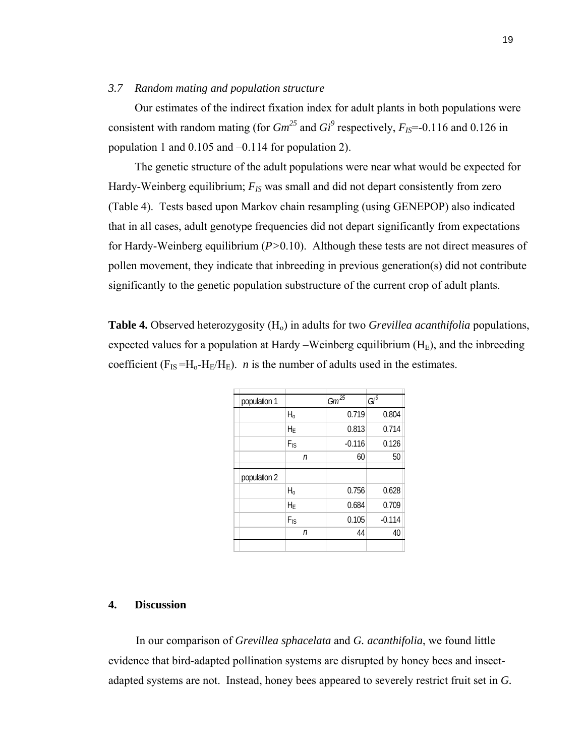#### *3.7 Random mating and population structure*

Our estimates of the indirect fixation index for adult plants in both populations were consistent with random mating (for  $Gm^{25}$  and  $Gi^9$  respectively,  $F_{IS}$ =-0.116 and 0.126 in population 1 and 0.105 and –0.114 for population 2).

The genetic structure of the adult populations were near what would be expected for Hardy-Weinberg equilibrium;  $F_{IS}$  was small and did not depart consistently from zero (Table 4). Tests based upon Markov chain resampling (using GENEPOP) also indicated that in all cases, adult genotype frequencies did not depart significantly from expectations for Hardy-Weinberg equilibrium (*P>*0.10). Although these tests are not direct measures of pollen movement, they indicate that inbreeding in previous generation(s) did not contribute significantly to the genetic population substructure of the current crop of adult plants.

**Table 4.** Observed heterozygosity (H<sub>0</sub>) in adults for two *Grevillea acanthifolia* populations, expected values for a population at Hardy –Weinberg equilibrium  $(H_E)$ , and the inbreeding coefficient  $(F_{IS} = H_0 - H_E/H_E)$ . *n* is the number of adults used in the estimates.

| population 1 |                 | $Gm^{25}$ | $Gi^9$   |
|--------------|-----------------|-----------|----------|
|              | $H_0$           | 0.719     | 0.804    |
|              | $H_E$           | 0.813     | 0.714    |
|              | $F_{\text{IS}}$ | $-0.116$  | 0.126    |
|              | $\sqrt{n}$      | 60        | 50       |
| population 2 |                 |           |          |
|              | $H_0$           | 0.756     | 0.628    |
|              | $H_E$           | 0.684     | 0.709    |
|              | $F_{\text{IS}}$ | 0.105     | $-0.114$ |
|              | n               | 44        | 40       |
|              |                 |           |          |

# **4. Discussion**

In our comparison of *Grevillea sphacelata* and *G. acanthifolia*, we found little evidence that bird-adapted pollination systems are disrupted by honey bees and insectadapted systems are not. Instead, honey bees appeared to severely restrict fruit set in *G.*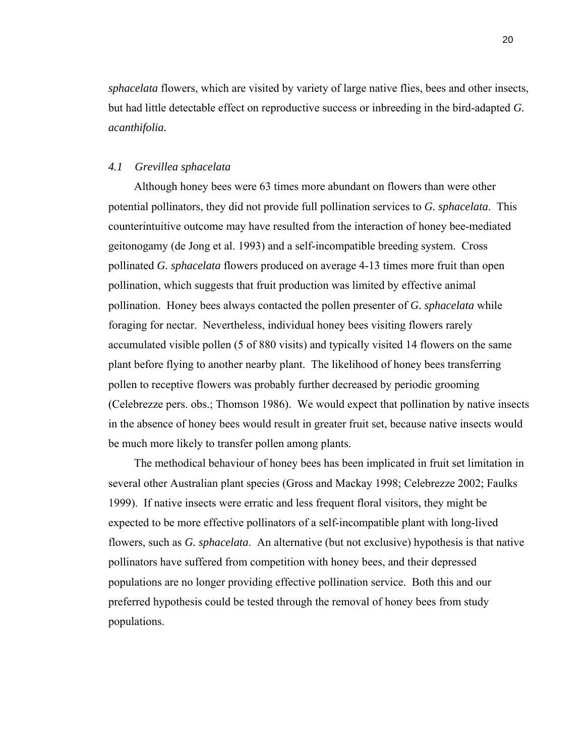*sphacelata* flowers, which are visited by variety of large native flies, bees and other insects, but had little detectable effect on reproductive success or inbreeding in the bird-adapted *G. acanthifolia.*

# *4.1 Grevillea sphacelata*

Although honey bees were 63 times more abundant on flowers than were other potential pollinators, they did not provide full pollination services to *G. sphacelata*. This counterintuitive outcome may have resulted from the interaction of honey bee-mediated geitonogamy (de Jong et al. 1993) and a self-incompatible breeding system. Cross pollinated *G. sphacelata* flowers produced on average 4-13 times more fruit than open pollination, which suggests that fruit production was limited by effective animal pollination. Honey bees always contacted the pollen presenter of *G. sphacelata* while foraging for nectar. Nevertheless, individual honey bees visiting flowers rarely accumulated visible pollen (5 of 880 visits) and typically visited 14 flowers on the same plant before flying to another nearby plant. The likelihood of honey bees transferring pollen to receptive flowers was probably further decreased by periodic grooming (Celebrezze pers. obs.; Thomson 1986). We would expect that pollination by native insects in the absence of honey bees would result in greater fruit set, because native insects would be much more likely to transfer pollen among plants.

The methodical behaviour of honey bees has been implicated in fruit set limitation in several other Australian plant species (Gross and Mackay 1998; Celebrezze 2002; Faulks 1999). If native insects were erratic and less frequent floral visitors, they might be expected to be more effective pollinators of a self-incompatible plant with long-lived flowers, such as *G. sphacelata*. An alternative (but not exclusive) hypothesis is that native pollinators have suffered from competition with honey bees, and their depressed populations are no longer providing effective pollination service. Both this and our preferred hypothesis could be tested through the removal of honey bees from study populations.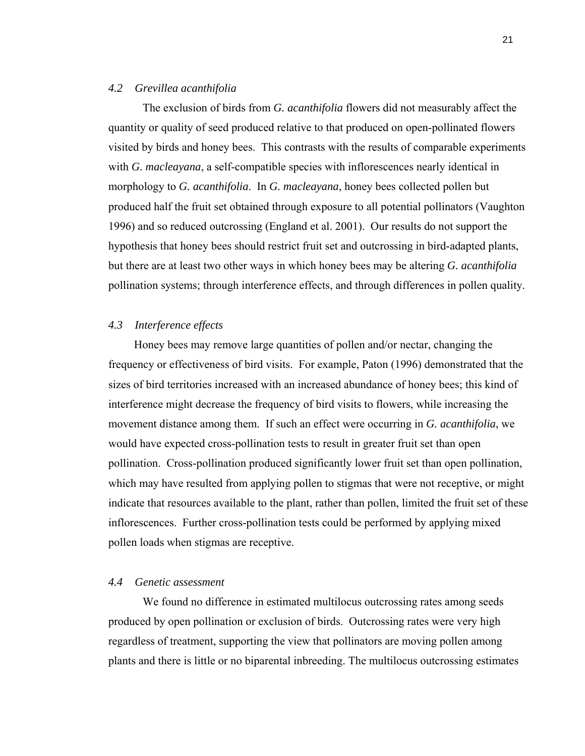#### *4.2 Grevillea acanthifolia*

The exclusion of birds from *G. acanthifolia* flowers did not measurably affect the quantity or quality of seed produced relative to that produced on open-pollinated flowers visited by birds and honey bees. This contrasts with the results of comparable experiments with *G. macleayana*, a self-compatible species with inflorescences nearly identical in morphology to *G. acanthifolia*. In *G. macleayana*, honey bees collected pollen but produced half the fruit set obtained through exposure to all potential pollinators (Vaughton 1996) and so reduced outcrossing (England et al. 2001). Our results do not support the hypothesis that honey bees should restrict fruit set and outcrossing in bird-adapted plants, but there are at least two other ways in which honey bees may be altering *G. acanthifolia* pollination systems; through interference effects, and through differences in pollen quality.

# *4.3 Interference effects*

Honey bees may remove large quantities of pollen and/or nectar, changing the frequency or effectiveness of bird visits. For example, Paton (1996) demonstrated that the sizes of bird territories increased with an increased abundance of honey bees; this kind of interference might decrease the frequency of bird visits to flowers, while increasing the movement distance among them. If such an effect were occurring in *G. acanthifolia*, we would have expected cross-pollination tests to result in greater fruit set than open pollination. Cross-pollination produced significantly lower fruit set than open pollination, which may have resulted from applying pollen to stigmas that were not receptive, or might indicate that resources available to the plant, rather than pollen, limited the fruit set of these inflorescences. Further cross-pollination tests could be performed by applying mixed pollen loads when stigmas are receptive.

### *4.4 Genetic assessment*

We found no difference in estimated multilocus outcrossing rates among seeds produced by open pollination or exclusion of birds. Outcrossing rates were very high regardless of treatment, supporting the view that pollinators are moving pollen among plants and there is little or no biparental inbreeding. The multilocus outcrossing estimates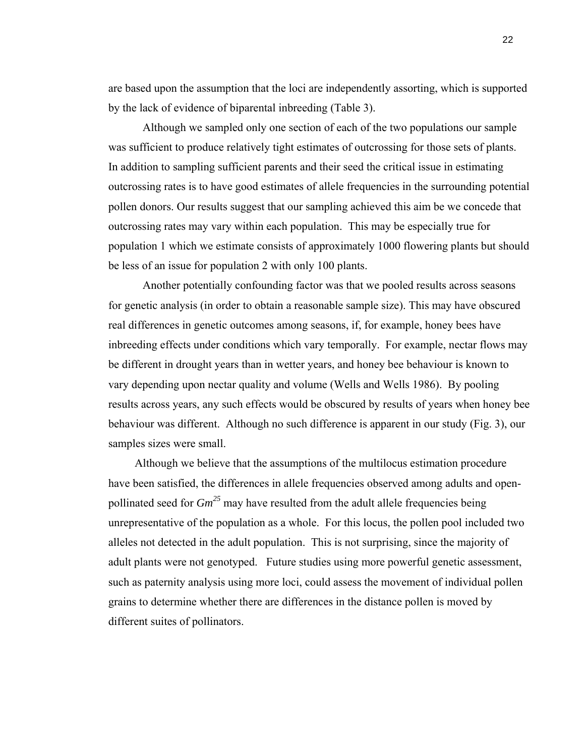are based upon the assumption that the loci are independently assorting, which is supported by the lack of evidence of biparental inbreeding (Table 3).

Although we sampled only one section of each of the two populations our sample was sufficient to produce relatively tight estimates of outcrossing for those sets of plants. In addition to sampling sufficient parents and their seed the critical issue in estimating outcrossing rates is to have good estimates of allele frequencies in the surrounding potential pollen donors. Our results suggest that our sampling achieved this aim be we concede that outcrossing rates may vary within each population. This may be especially true for population 1 which we estimate consists of approximately 1000 flowering plants but should be less of an issue for population 2 with only 100 plants.

Another potentially confounding factor was that we pooled results across seasons for genetic analysis (in order to obtain a reasonable sample size). This may have obscured real differences in genetic outcomes among seasons, if, for example, honey bees have inbreeding effects under conditions which vary temporally. For example, nectar flows may be different in drought years than in wetter years, and honey bee behaviour is known to vary depending upon nectar quality and volume (Wells and Wells 1986). By pooling results across years, any such effects would be obscured by results of years when honey bee behaviour was different. Although no such difference is apparent in our study (Fig. 3), our samples sizes were small.

Although we believe that the assumptions of the multilocus estimation procedure have been satisfied, the differences in allele frequencies observed among adults and openpollinated seed for  $Gm^{25}$  may have resulted from the adult allele frequencies being unrepresentative of the population as a whole. For this locus, the pollen pool included two alleles not detected in the adult population. This is not surprising, since the majority of adult plants were not genotyped. Future studies using more powerful genetic assessment, such as paternity analysis using more loci, could assess the movement of individual pollen grains to determine whether there are differences in the distance pollen is moved by different suites of pollinators.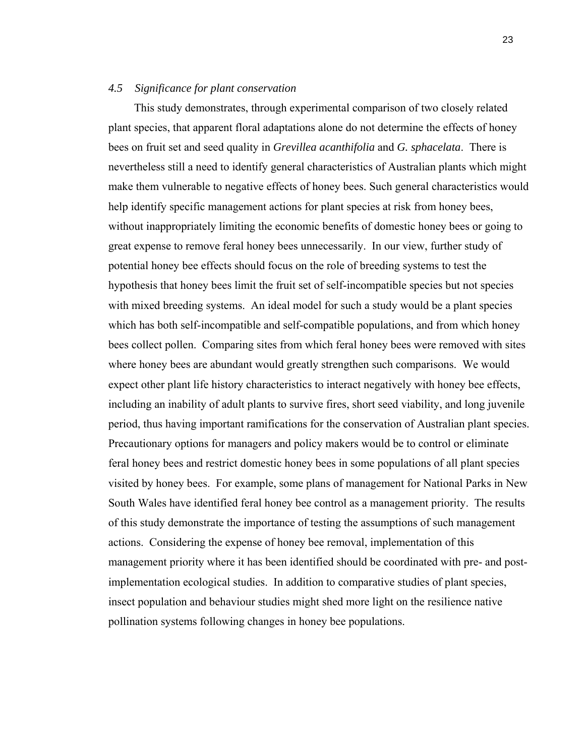#### *4.5 Significance for plant conservation*

This study demonstrates, through experimental comparison of two closely related plant species, that apparent floral adaptations alone do not determine the effects of honey bees on fruit set and seed quality in *Grevillea acanthifolia* and *G. sphacelata*. There is nevertheless still a need to identify general characteristics of Australian plants which might make them vulnerable to negative effects of honey bees. Such general characteristics would help identify specific management actions for plant species at risk from honey bees, without inappropriately limiting the economic benefits of domestic honey bees or going to great expense to remove feral honey bees unnecessarily. In our view, further study of potential honey bee effects should focus on the role of breeding systems to test the hypothesis that honey bees limit the fruit set of self-incompatible species but not species with mixed breeding systems. An ideal model for such a study would be a plant species which has both self-incompatible and self-compatible populations, and from which honey bees collect pollen. Comparing sites from which feral honey bees were removed with sites where honey bees are abundant would greatly strengthen such comparisons. We would expect other plant life history characteristics to interact negatively with honey bee effects, including an inability of adult plants to survive fires, short seed viability, and long juvenile period, thus having important ramifications for the conservation of Australian plant species. Precautionary options for managers and policy makers would be to control or eliminate feral honey bees and restrict domestic honey bees in some populations of all plant species visited by honey bees. For example, some plans of management for National Parks in New South Wales have identified feral honey bee control as a management priority. The results of this study demonstrate the importance of testing the assumptions of such management actions. Considering the expense of honey bee removal, implementation of this management priority where it has been identified should be coordinated with pre- and postimplementation ecological studies. In addition to comparative studies of plant species, insect population and behaviour studies might shed more light on the resilience native pollination systems following changes in honey bee populations.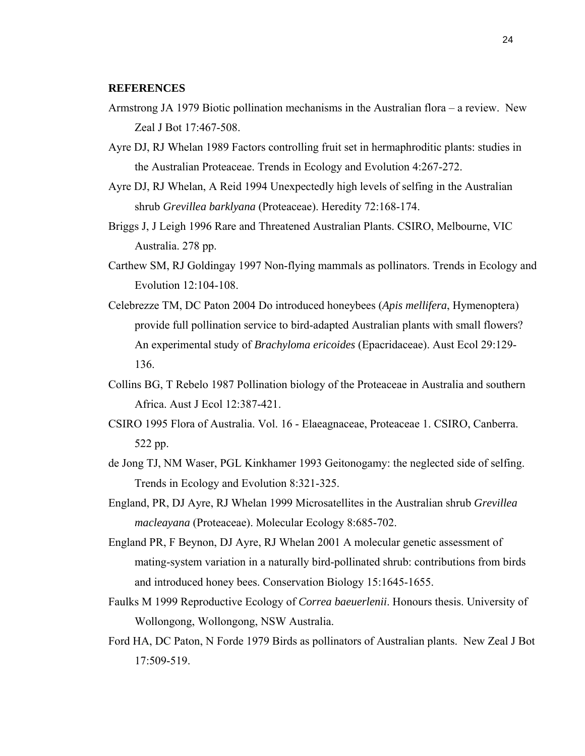#### **REFERENCES**

- Armstrong JA 1979 Biotic pollination mechanisms in the Australian flora a review. New Zeal J Bot 17:467-508.
- Ayre DJ, RJ Whelan 1989 Factors controlling fruit set in hermaphroditic plants: studies in the Australian Proteaceae. Trends in Ecology and Evolution 4:267-272.
- Ayre DJ, RJ Whelan, A Reid 1994 Unexpectedly high levels of selfing in the Australian shrub *Grevillea barklyana* (Proteaceae). Heredity 72:168-174.
- Briggs J, J Leigh 1996 Rare and Threatened Australian Plants. CSIRO, Melbourne, VIC Australia. 278 pp.
- Carthew SM, RJ Goldingay 1997 Non-flying mammals as pollinators. Trends in Ecology and Evolution 12:104-108.
- Celebrezze TM, DC Paton 2004 Do introduced honeybees (*Apis mellifera*, Hymenoptera) provide full pollination service to bird-adapted Australian plants with small flowers? An experimental study of *Brachyloma ericoides* (Epacridaceae). Aust Ecol 29:129- 136.
- Collins BG, T Rebelo 1987 Pollination biology of the Proteaceae in Australia and southern Africa. Aust J Ecol 12:387-421.
- CSIRO 1995 Flora of Australia. Vol. 16 Elaeagnaceae, Proteaceae 1. CSIRO, Canberra. 522 pp.
- de Jong TJ, NM Waser, PGL Kinkhamer 1993 Geitonogamy: the neglected side of selfing. Trends in Ecology and Evolution 8:321-325.
- England, PR, DJ Ayre, RJ Whelan 1999 Microsatellites in the Australian shrub *Grevillea macleayana* (Proteaceae). Molecular Ecology 8:685-702.
- England PR, F Beynon, DJ Ayre, RJ Whelan 2001 A molecular genetic assessment of mating-system variation in a naturally bird-pollinated shrub: contributions from birds and introduced honey bees. Conservation Biology 15:1645-1655.
- Faulks M 1999 Reproductive Ecology of *Correa baeuerlenii*. Honours thesis. University of Wollongong, Wollongong, NSW Australia.
- Ford HA, DC Paton, N Forde 1979 Birds as pollinators of Australian plants. New Zeal J Bot 17:509-519.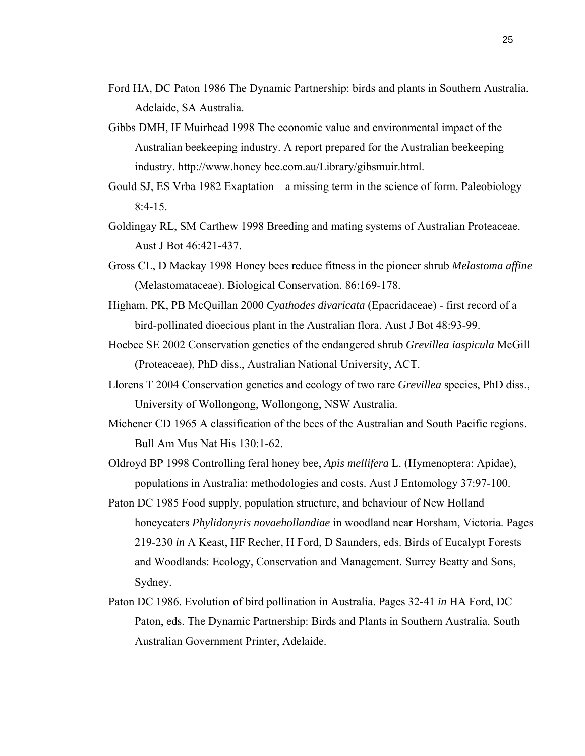- Ford HA, DC Paton 1986 The Dynamic Partnership: birds and plants in Southern Australia. Adelaide, SA Australia.
- Gibbs DMH, IF Muirhead 1998 The economic value and environmental impact of the Australian beekeeping industry. A report prepared for the Australian beekeeping industry. http://www.honey bee.com.au/Library/gibsmuir.html.
- Gould SJ, ES Vrba 1982 Exaptation a missing term in the science of form. Paleobiology  $8:4-15$ .
- Goldingay RL, SM Carthew 1998 Breeding and mating systems of Australian Proteaceae. Aust J Bot 46:421-437.
- Gross CL, D Mackay 1998 Honey bees reduce fitness in the pioneer shrub *Melastoma affine* (Melastomataceae). Biological Conservation. 86:169-178.
- Higham, PK, PB McQuillan 2000 *Cyathodes divaricata* (Epacridaceae) first record of a bird-pollinated dioecious plant in the Australian flora. Aust J Bot 48:93-99.
- Hoebee SE 2002 Conservation genetics of the endangered shrub *Grevillea iaspicula* McGill (Proteaceae), PhD diss., Australian National University, ACT.
- Llorens T 2004 Conservation genetics and ecology of two rare *Grevillea* species, PhD diss., University of Wollongong, Wollongong, NSW Australia.
- Michener CD 1965 A classification of the bees of the Australian and South Pacific regions. Bull Am Mus Nat His 130:1-62.
- Oldroyd BP 1998 Controlling feral honey bee, *Apis mellifera* L. (Hymenoptera: Apidae), populations in Australia: methodologies and costs. Aust J Entomology 37:97-100.
- Paton DC 1985 Food supply, population structure, and behaviour of New Holland honeyeaters *Phylidonyris novaehollandiae* in woodland near Horsham, Victoria. Pages 219-230 *in* A Keast, HF Recher, H Ford, D Saunders, eds. Birds of Eucalypt Forests and Woodlands: Ecology, Conservation and Management. Surrey Beatty and Sons, Sydney.
- Paton DC 1986. Evolution of bird pollination in Australia. Pages 32-41 *in* HA Ford, DC Paton, eds. The Dynamic Partnership: Birds and Plants in Southern Australia. South Australian Government Printer, Adelaide.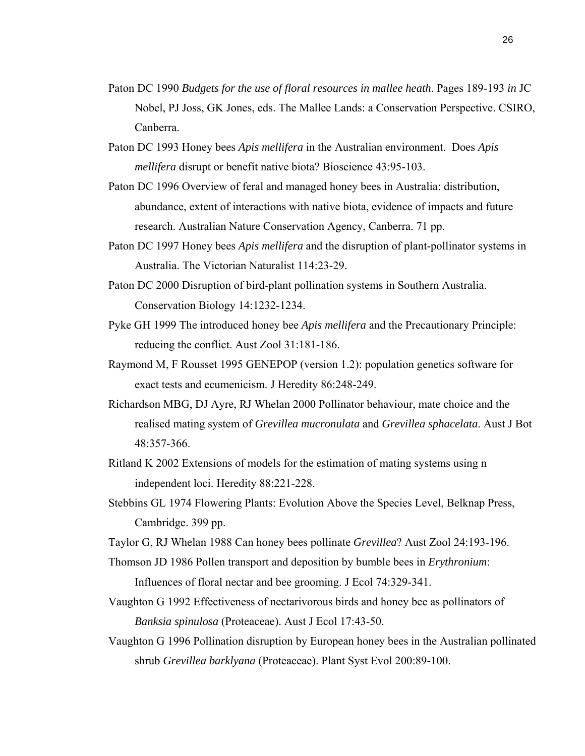- Paton DC 1990 *Budgets for the use of floral resources in mallee heath*. Pages 189-193 *in* JC Nobel, PJ Joss, GK Jones, eds. The Mallee Lands: a Conservation Perspective. CSIRO, Canberra.
- Paton DC 1993 Honey bees *Apis mellifera* in the Australian environment. Does *Apis mellifera* disrupt or benefit native biota? Bioscience 43:95-103.
- Paton DC 1996 Overview of feral and managed honey bees in Australia: distribution, abundance, extent of interactions with native biota, evidence of impacts and future research. Australian Nature Conservation Agency, Canberra. 71 pp.
- Paton DC 1997 Honey bees *Apis mellifera* and the disruption of plant-pollinator systems in Australia. The Victorian Naturalist 114:23-29.
- Paton DC 2000 Disruption of bird-plant pollination systems in Southern Australia. Conservation Biology 14:1232-1234.
- Pyke GH 1999 The introduced honey bee *Apis mellifera* and the Precautionary Principle: reducing the conflict. Aust Zool 31:181-186.
- Raymond M, F Rousset 1995 GENEPOP (version 1.2): population genetics software for exact tests and ecumenicism. J Heredity 86:248-249.
- Richardson MBG, DJ Ayre, RJ Whelan 2000 Pollinator behaviour, mate choice and the realised mating system of *Grevillea mucronulata* and *Grevillea sphacelata*. Aust J Bot 48:357-366.
- Ritland K 2002 Extensions of models for the estimation of mating systems using n independent loci. Heredity 88:221-228.
- Stebbins GL 1974 Flowering Plants: Evolution Above the Species Level, Belknap Press, Cambridge. 399 pp.
- Taylor G, RJ Whelan 1988 Can honey bees pollinate *Grevillea*? Aust Zool 24:193-196.
- Thomson JD 1986 Pollen transport and deposition by bumble bees in *Erythronium*: Influences of floral nectar and bee grooming. J Ecol 74:329-341.
- Vaughton G 1992 Effectiveness of nectarivorous birds and honey bee as pollinators of *Banksia spinulosa* (Proteaceae). Aust J Ecol 17:43-50.
- Vaughton G 1996 Pollination disruption by European honey bees in the Australian pollinated shrub *Grevillea barklyana* (Proteaceae). Plant Syst Evol 200:89-100.